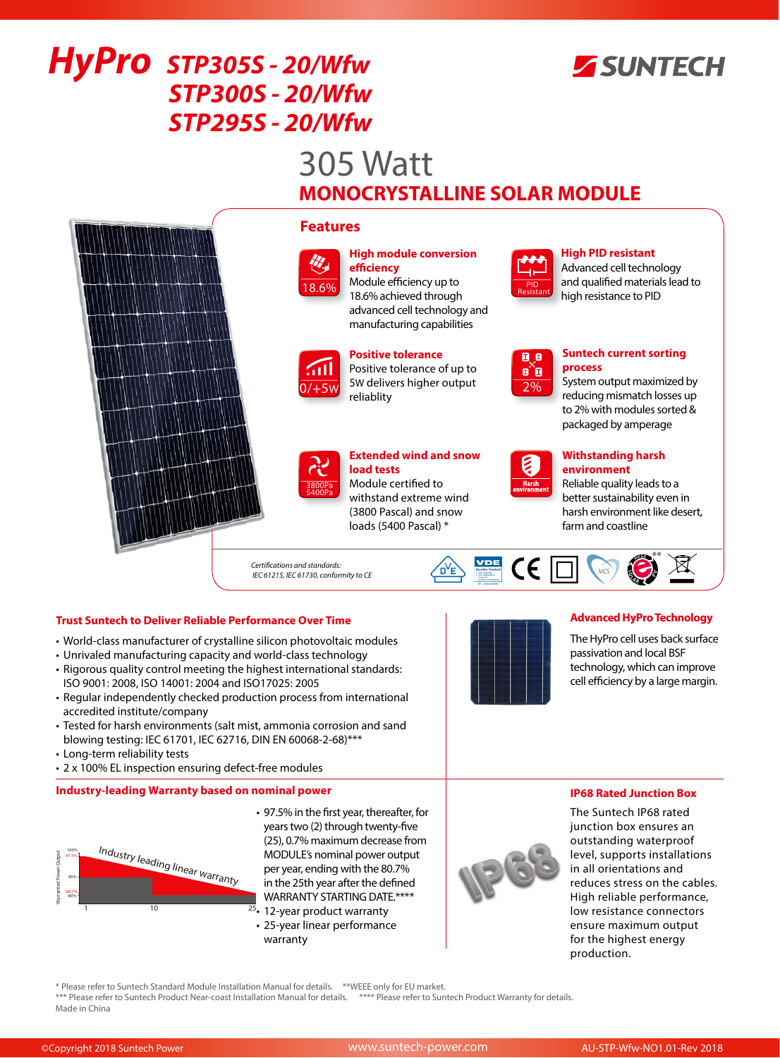

# *HyPro STP305S - 20/Wfw STP300S - 20/Wfw STP295S - 20/Wfw*

# 305 Watt **MONOCRYSTALLINE SOLAR MODULE**



# **Trust Suntech to Deliver Reliable Performance Over Time**

- World-class manufacturer of crystalline silicon photovoltaic modules
- Unrivaled manufacturing capacity and world-class technology • Rigorous quality control meeting the highest international standards:
- ISO 9001: 2008, ISO 14001: 2004 and ISO17025: 2005
- Regular independently checked production process from international accredited institute/company
- Tested for harsh environments (salt mist, ammonia corrosion and sand blowing testing: IEC 61701, IEC 62716, DIN EN 60068-2-68)\*\*\*
- Long-term reliability tests
- 2 x 100% EL inspection ensuring defect-free modules

## **Industry-leading Warranty based on nominal power**



- 97.5% in the first year, thereafter, for years two (2) through twenty-five (25), 0.7% maximum decrease from MODULE's nominal power output per year, ending with the 80.7% in the 25th year after the defined WARRANTY STARTING DATE.\*\*\*\*
- <sup>25</sup>• 12-year product warranty • 25-year linear performance warranty



# **Advanced HyPro Technology**

The HyPro cell uses back surface passivation and local BSF technology, which can improve cell efficiency by a large margin.

**IP68 Rated Junction Box** 

The Suntech IP68 rated junction box ensures an outstanding waterproof level, supports installations in all orientations and reduces stress on the cables. High reliable performance, low resistance connectors ensure maximum output for the highest energy production.

\* Please refer to Suntech Standard Module Installation Manual for details. \*\*WEEE only for EU market.

\*\*\* Please refer to Suntech Product Near-coast Installation Manual for details. \*\*\*\* Please refer to Suntech Product Warranty for details. Made in China